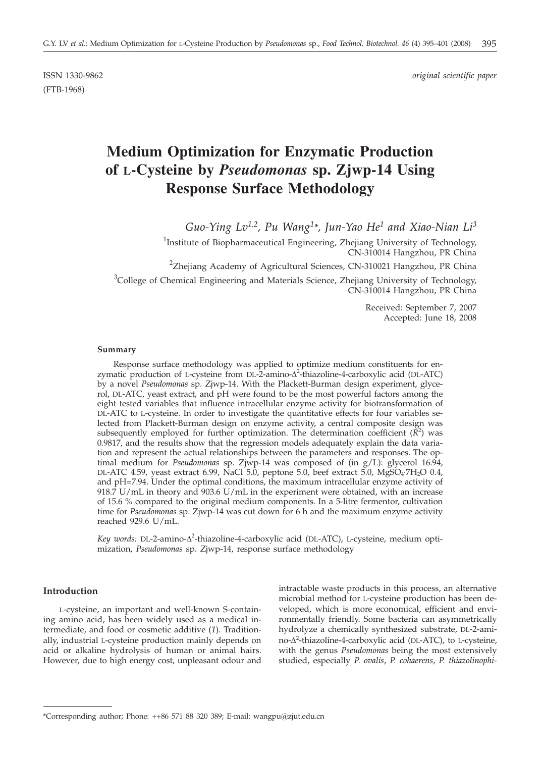(FTB-1968)

ISSN 1330-9862 *original scientific paper*

# **Medium Optimization for Enzymatic Production of L-Cysteine by** *Pseudomonas* **sp. Zjwp-14 Using Response Surface Methodology**

*Guo-Ying Lv1,2, Pu Wang1\*, Jun-Yao He1 and Xiao-Nian Li3*

<sup>1</sup>Institute of Biopharmaceutical Engineering, Zhejiang University of Technology, CN-310014 Hangzhou, PR China

<sup>2</sup>Zhejiang Academy of Agricultural Sciences, CN-310021 Hangzhou, PR China

<sup>3</sup>College of Chemical Engineering and Materials Science, Zhejiang University of Technology, CN-310014 Hangzhou, PR China

> Received: September 7, 2007 Accepted: June 18, 2008

#### **Summary**

Response surface methodology was applied to optimize medium constituents for enzymatic production of L-cysteine from DL-2-amino- $\Delta^2$ -thiazoline-4-carboxylic acid (DL-ATC)<br>by a novel *Pseudomonas* sp. Ziwn-14. With the Plackett-Burman design experiment, glyceby a novel *Pseudomonas* sp. Zjwp-14. With the Plackett-Burman design experiment, glycerol, DL-ATC, yeast extract, and pH were found to be the most powerful factors among the eight tested variables that influence intracellular enzyme activity for biotransformation of DL-ATC to L-cysteine. In order to investigate the quantitative effects for four variables selected from Plackett-Burman design on enzyme activity, a central composite design was subsequently employed for further optimization. The determination coefficient  $(R^2)$  was 0.9817, and the results show that the regression models adequately explain the data variation and represent the actual relationships between the parameters and responses. The optimal medium for *Pseudomonas* sp. Zjwp-14 was composed of (in g/L): glycerol 16.94, DL-ATC 4.59, yeast extract 6.99, NaCl 5.0, peptone 5.0, beef extract 5.0,  $MgSO_4$ -7H<sub>2</sub>O 0.4, and pH=7.94. Under the optimal conditions, the maximum intracellular enzyme activity of 918.7 U/mL in theory and 903.6 U/mL in the experiment were obtained, with an increase of 15.6 % compared to the original medium components. In a 5-litre fermentor, cultivation time for *Pseudomonas* sp. Zjwp-14 was cut down for 6 h and the maximum enzyme activity reached 929.6 U/mL.

*Key words:* DL-2-amino-Δ<sup>2</sup>-thiazoline-4-carboxylic acid (DL-ATC), L-cysteine, medium opti-<br>mization, *Pseudomonas* sp. Ziwp-14, response surface methodology mization, *Pseudomonas* sp. Zjwp-14, response surface methodology

## **Introduction**

L-cysteine, an important and well-known S-containing amino acid, has been widely used as a medical intermediate, and food or cosmetic additive (*1*). Traditionally, industrial L-cysteine production mainly depends on acid or alkaline hydrolysis of human or animal hairs. However, due to high energy cost, unpleasant odour and intractable waste products in this process, an alternative microbial method for L-cysteine production has been developed, which is more economical, efficient and environmentally friendly. Some bacteria can asymmetrically hydrolyze a chemically synthesized substrate, DL-2-amino-A<sup>2</sup>-thiazoline-4-carboxylic acid (DL-ATC), to L-cysteine,<br>with the genus *Pseudomonas* being the most extensively with the genus *Pseudomonas* being the most extensively studied, especially *P. ovalis*, *P. cohaerens*, *P. thiazolinophi-*

<sup>\*</sup>Corresponding author; Phone: ++86 571 88 320 389; E-mail: wangpu@zjut.edu.cn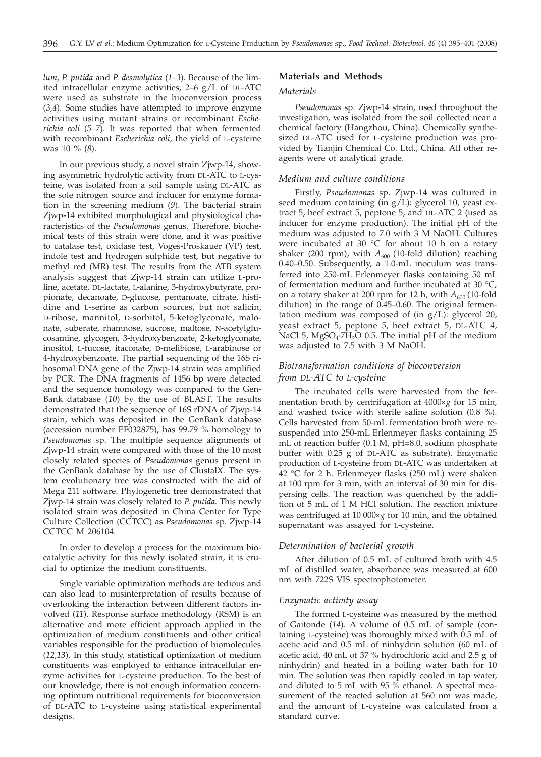*lum*, *P. putida* and *P. desmolytica* (*1–3*). Because of the limited intracellular enzyme activities, 2–6 g/L of DL-ATC were used as substrate in the bioconversion process (*3,4*). Some studies have attempted to improve enzyme activities using mutant strains or recombinant *Escherichia coli* (*5–7*). It was reported that when fermented with recombinant *Escherichia coli*, the yield of L-cysteine was 10 % (*8*).

In our previous study, a novel strain Zjwp-14, showing asymmetric hydrolytic activity from DL-ATC to L-cysteine, was isolated from a soil sample using DL-ATC as the sole nitrogen source and inducer for enzyme formation in the screening medium (*9*). The bacterial strain Zjwp-14 exhibited morphological and physiological characteristics of the *Pseudomonas* genus. Therefore, biochemical tests of this strain were done, and it was positive to catalase test, oxidase test, Voges-Proskauer (VP) test, indole test and hydrogen sulphide test, but negative to methyl red (MR) test. The results from the ATB system analysis suggest that Zjwp-14 strain can utilize L-proline, acetate, DL-lactate, L-alanine, 3-hydroxybutyrate, propionate, decanoate, D-glucose, pentanoate, citrate, histidine and L-serine as carbon sources, but not salicin, D-ribose, mannitol, D-sorbitol, 5-ketoglyconate, malonate, suberate, rhamnose, sucrose, maltose, N-acetylglucosamine, glycogen, 3-hydroxybenzoate, 2-ketoglyconate, inositol, L-fucose, itaconate, D-melibiose, L-arabinose or 4-hydroxybenzoate. The partial sequencing of the 16S ribosomal DNA gene of the Zjwp-14 strain was amplified by PCR. The DNA fragments of 1456 bp were detected and the sequence homology was compared to the Gen-Bank database (*10*) by the use of BLAST. The results demonstrated that the sequence of 16S rDNA of Zjwp-14 strain, which was deposited in the GenBank database (accession number EF032875), has 99.79 % homology to *Pseudomonas* sp. The multiple sequence alignments of Zjwp-14 strain were compared with those of the 10 most closely related species of *Pseudomonas* genus present in the GenBank database by the use of ClustalX. The system evolutionary tree was constructed with the aid of Mega 211 software. Phylogenetic tree demonstrated that Zjwp-14 strain was closely related to *P. putida*. This newly isolated strain was deposited in China Center for Type Culture Collection (CCTCC) as *Pseudomonas* sp. Zjwp-14 CCTCC M 206104.

In order to develop a process for the maximum biocatalytic activity for this newly isolated strain, it is crucial to optimize the medium constituents.

Single variable optimization methods are tedious and can also lead to misinterpretation of results because of overlooking the interaction between different factors involved (*11*). Response surface methodology (RSM) is an alternative and more efficient approach applied in the optimization of medium constituents and other critical variables responsible for the production of biomolecules (*12,13*). In this study, statistical optimization of medium constituents was employed to enhance intracellular enzyme activities for L-cysteine production. To the best of our knowledge, there is not enough information concerning optimum nutritional requirements for bioconversion of DL-ATC to L-cysteine using statistical experimental designs.

## **Materials and Methods**

## *Materials*

*Pseudomonas* sp. Zjwp-14 strain, used throughout the investigation, was isolated from the soil collected near a chemical factory (Hangzhou, China). Chemically synthesized DL-ATC used for L-cysteine production was provided by Tianjin Chemical Co. Ltd., China. All other reagents were of analytical grade.

#### *Medium and culture conditions*

Firstly, *Pseudomonas* sp. Zjwp-14 was cultured in seed medium containing (in g/L): glycerol 10, yeast extract 5, beef extract 5, peptone 5, and DL-ATC 2 (used as inducer for enzyme production). The initial pH of the medium was adjusted to 7.0 with 3 M NaOH. Cultures were incubated at 30  $^{\circ}$ C for about 10 h on a rotary shaker (200 rpm), with  $A_{600}$  (10-fold dilution) reaching 0.40–0.50. Subsequently, a 1.0-mL inoculum was transferred into 250-mL Erlenmeyer flasks containing 50 mL of fermentation medium and further incubated at 30 °C, on a rotary shaker at 200 rpm for 12 h, with  $A_{600}$  (10-fold dilution) in the range of 0.45–0.60. The original fermentation medium was composed of (in g/L): glycerol 20, yeast extract 5, peptone 5, beef extract 5, DL-ATC 4, NaCl 5,  $MgSO<sub>4</sub>·7H<sub>2</sub>O$  0.5. The initial pH of the medium was adjusted to 7.5 with 3 M NaOH.

## *Biotransformation conditions of bioconversion from DL-ATC to L-cysteine*

The incubated cells were harvested from the fermentation broth by centrifugation at  $4000 \times g$  for 15 min, and washed twice with sterile saline solution (0.8 %). Cells harvested from 50-mL fermentation broth were resuspended into 250-mL Erlenmeyer flasks containing 25 mL of reaction buffer (0.1 M, pH=8.0, sodium phosphate buffer with 0.25 g of DL-ATC as substrate). Enzymatic production of L-cysteine from DL-ATC was undertaken at 42 °C for 2 h. Erlenmeyer flasks (250 mL) were shaken at 100 rpm for 3 min, with an interval of 30 min for dispersing cells. The reaction was quenched by the addition of 5 mL of 1 M HCl solution. The reaction mixture was centrifuged at 10 000×g for 10 min, and the obtained supernatant was assayed for L-cysteine.

#### *Determination of bacterial growth*

After dilution of 0.5 mL of cultured broth with 4.5 mL of distilled water, absorbance was measured at 600 nm with 722S VIS spectrophotometer.

### *Enzymatic activity assay*

The formed L-cysteine was measured by the method of Gaitonde (*14*). A volume of 0.5 mL of sample (containing L-cysteine) was thoroughly mixed with 0.5 mL of acetic acid and 0.5 mL of ninhydrin solution (60 mL of acetic acid, 40 mL of 37 % hydrochloric acid and 2.5 g of ninhydrin) and heated in a boiling water bath for 10 min. The solution was then rapidly cooled in tap water, and diluted to 5 mL with 95 % ethanol. A spectral measurement of the reacted solution at 560 nm was made, and the amount of L-cysteine was calculated from a standard curve.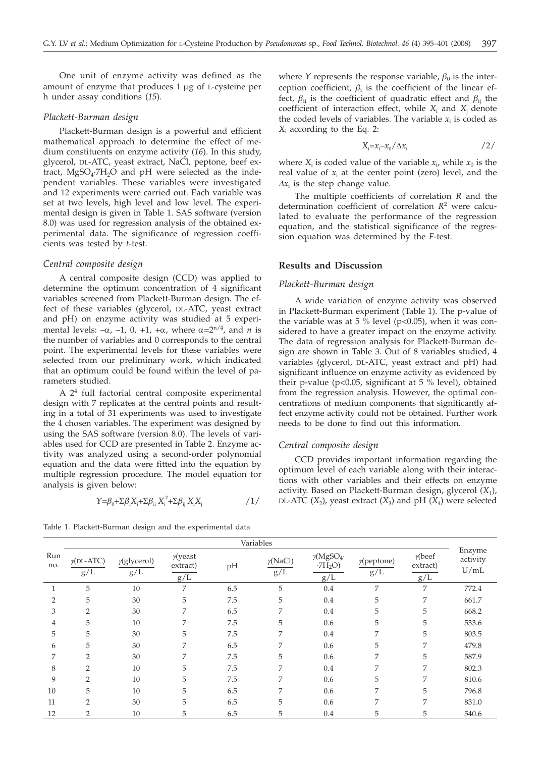One unit of enzyme activity was defined as the amount of enzyme that produces  $1 \mu$ g of L-cysteine per h under assay conditions (*15*).

#### *Plackett-Burman design*

Plackett-Burman design is a powerful and efficient mathematical approach to determine the effect of medium constituents on enzyme activity (*16*). In this study, glycerol, DL-ATC, yeast extract, NaCl, peptone, beef extract,  $MgSO_4$ .7H<sub>2</sub>O and pH were selected as the independent variables. These variables were investigated and 12 experiments were carried out. Each variable was set at two levels, high level and low level. The experimental design is given in Table 1. SAS software (version 8.0) was used for regression analysis of the obtained experimental data. The significance of regression coefficients was tested by *t*-test.

#### *Central composite design*

A central composite design (CCD) was applied to determine the optimum concentration of 4 significant variables screened from Plackett-Burman design. The effect of these variables (glycerol, DL-ATC, yeast extract and pH) on enzyme activity was studied at 5 experimental levels:  $-\alpha$ ,  $-1$ , 0,  $+1$ ,  $+\alpha$ , where  $\alpha = 2^{n/4}$ , and *n* is the number of variables and 0 corresponds to the central point. The experimental levels for these variables were selected from our preliminary work, which indicated that an optimum could be found within the level of parameters studied.

A 24 full factorial central composite experimental design with 7 replicates at the central points and resulting in a total of 31 experiments was used to investigate the 4 chosen variables. The experiment was designed by using the SAS software (version 8.0). The levels of variables used for CCD are presented in Table 2. Enzyme activity was analyzed using a second-order polynomial equation and the data were fitted into the equation by multiple regression procedure. The model equation for analysis is given below:

$$
\gamma = \beta_0 + \sum \beta_i X_i + \sum \beta_{ii} X_i^2 + \sum \beta_{ij} X_i X_j
$$

Table 1. Plackett-Burman design and the experimental data

where *Y* represents the response variable,  $\beta_0$  is the interception coefficient,  $\beta_i$  is the coefficient of the linear effect,  $\beta_{ii}$  is the coefficient of quadratic effect and  $\beta_{ii}$  the coefficient of interaction effect, while  $X_i$  and  $X_j$  denote the coded levels of variables. The variable  $x_i$  is coded as *X*<sup>i</sup> according to the Eq. 2:

$$
X_i = x_i - x_0 / \Delta x_i \tag{2}
$$

where  $X_i$  is coded value of the variable  $x_i$ , while  $x_0$  is the real value of  $x_i$  at the center point (zero) level, and the  $\Delta x_i$  is the step change value.

The multiple coefficients of correlation *R* and the determination coefficient of correlation *R*<sup>2</sup> were calculated to evaluate the performance of the regression equation, and the statistical significance of the regression equation was determined by the *F*-test.

## **Results and Discussion**

### *Plackett-Burman design*

A wide variation of enzyme activity was observed in Plackett-Burman experiment (Table 1). The p-value of the variable was at 5  $\%$  level (p<0.05), when it was considered to have a greater impact on the enzyme activity. The data of regression analysis for Plackett-Burman design are shown in Table 3. Out of 8 variables studied, 4 variables (glycerol, DL-ATC, yeast extract and pH) had significant influence on enzyme activity as evidenced by their p-value (p<0.05, significant at 5 % level), obtained from the regression analysis. However, the optimal concentrations of medium components that significantly affect enzyme activity could not be obtained. Further work needs to be done to find out this information.

### *Central composite design*

CCD provides important information regarding the optimum level of each variable along with their interactions with other variables and their effects on enzyme activity. Based on Plackett-Burman design, glycerol (*X*1), DL-ATC  $(X_2)$ , yeast extract  $(X_3)$  and pH  $(X_4)$  were selected

|            | Variables                             |                            |                                    |     |                        |                                                 |                           |                                   |                            |
|------------|---------------------------------------|----------------------------|------------------------------------|-----|------------------------|-------------------------------------------------|---------------------------|-----------------------------------|----------------------------|
| Run<br>no. | $\gamma$ (DL-ATC)<br>$g/\overline{L}$ | $\gamma$ (glycerol)<br>g/L | $\gamma$ (yeast<br>extract)<br>g/L | pH  | $\gamma$ (NaCl)<br>g/L | $\gamma$ (MgSO <sub>4</sub> ·<br>$-7H2O$<br>g/L | $\gamma$ (peptone)<br>g/L | $\gamma$ (beef<br>extract)<br>g/L | Enzyme<br>activity<br>U/mL |
|            | 5                                     | 10                         | 7                                  | 6.5 | 5                      | 0.4                                             | 7                         | 7                                 | 772.4                      |
| 2          | 5                                     | 30                         | 5                                  | 7.5 | 5                      | 0.4                                             | 5                         | 7                                 | 661.7                      |
| 3          | $\overline{2}$                        | 30                         | 7                                  | 6.5 | 7                      | 0.4                                             | 5                         | 5                                 | 668.2                      |
| 4          | 5                                     | 10                         | 7                                  | 7.5 | 5                      | 0.6                                             | 5                         | 5                                 | 533.6                      |
| 5          | 5                                     | 30                         | 5                                  | 7.5 | 7                      | 0.4                                             | 7                         | 5                                 | 803.5                      |
| 6          | 5                                     | 30                         | 7                                  | 6.5 | 7                      | 0.6                                             | 5                         | 7                                 | 479.8                      |
|            | $\overline{2}$                        | 30                         | 7                                  | 7.5 | 5                      | 0.6                                             | $\overline{7}$            | 5                                 | 587.9                      |
| 8          | 2                                     | 10                         | 5                                  | 7.5 | 7                      | 0.4                                             | 7                         | 7                                 | 802.3                      |
| 9          | $\overline{2}$                        | 10                         | 5                                  | 7.5 | 7                      | 0.6                                             | 5                         | 7                                 | 810.6                      |
| 10         | 5                                     | 10                         | 5                                  | 6.5 | 7                      | 0.6                                             | 7                         | 5                                 | 796.8                      |
| 11         | $\overline{2}$                        | 30                         | 5                                  | 6.5 | 5                      | 0.6                                             | 7                         | 7                                 | 831.0                      |
| 12         | 2                                     | 10                         | 5                                  | 6.5 | 5                      | 0.4                                             | 5                         | 5                                 | 540.6                      |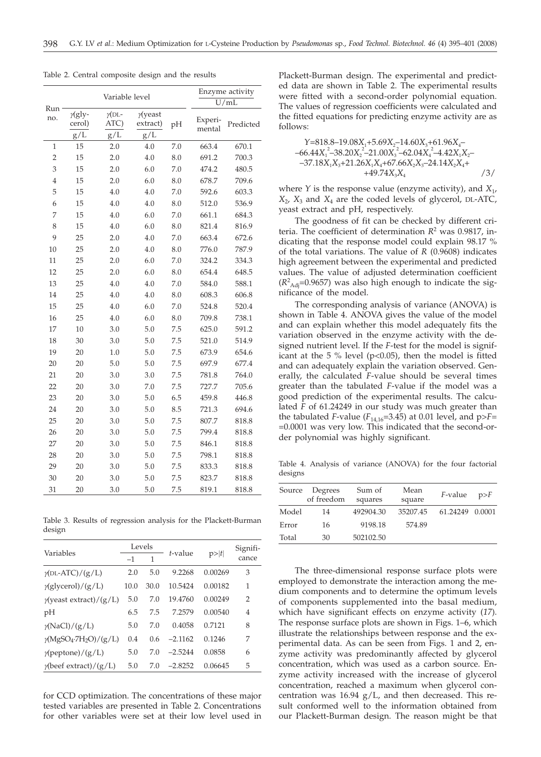|                |                                 | Enzyme activity              |                                    |            |                   |                |
|----------------|---------------------------------|------------------------------|------------------------------------|------------|-------------------|----------------|
| Run            |                                 | Variable level               | U/mL                               |            |                   |                |
| no.            | $\gamma$ (gly-<br>cerol)<br>g/L | $\gamma$ (DL-<br>ATC)<br>g/L | $\gamma$ (yeast<br>extract)<br>g/L | pH         | Experi-<br>mental | Predicted      |
| $\mathbf{1}$   | 15                              | 2.0                          | 4.0                                | 7.0        | 663.4             | 670.1          |
| $\overline{2}$ | 15                              | 2.0                          | 4.0                                | 8.0        | 691.2             | 700.3          |
| 3              | 15                              | 2.0                          | 6.0                                | 7.0        | 474.2             | 480.5          |
| $\overline{4}$ | 15                              | 2.0                          | $6.0\,$                            | 8.0        | 678.7             | 709.6          |
| 5              | 15                              | 4.0                          | $4.0\,$                            | 7.0        | 592.6             | 603.3          |
| 6              | 15                              | 4.0                          | 4.0                                | 8.0        | 512.0             | 536.9          |
| 7              | 15                              | 4.0                          | 6.0                                | 7.0        | 661.1             | 684.3          |
| 8              | 15                              | 4.0                          | 6.0                                | 8.0        | 821.4             | 816.9          |
| 9              | 25                              | 2.0                          | 4.0                                | 7.0        | 663.4             | 672.6          |
| 10             | 25                              | 2.0                          | 4.0                                | 8.0        | 776.0             | 787.9          |
| 11             | 25                              | 2.0                          | 6.0                                | 7.0        | 324.2             | 334.3          |
| 12             | 25                              | 2.0                          | 6.0                                | 8.0        | 654.4             | 648.5          |
| 13             | 25                              | 4.0                          | $4.0\,$                            | 7.0        | 584.0             | 588.1          |
| 14             | 25                              | 4.0                          | $4.0\,$                            | 8.0        | 608.3             | 606.8          |
| 15             | 25                              | 4.0                          | 6.0                                | 7.0        | 524.8             | 520.4          |
| 16             | 25                              | 4.0                          | 6.0                                | 8.0        | 709.8             | 738.1          |
| 17             | 10                              | 3.0                          | 5.0                                | 7.5        | 625.0             | 591.2          |
| 18             | 30                              | 3.0                          | 5.0                                | 7.5        | 521.0             | 514.9          |
| 19             | 20                              | 1.0                          | 5.0                                | 7.5        | 673.9             | 654.6          |
| 20             | 20                              | 5.0                          | 5.0                                | 7.5        | 697.9             | 677.4          |
| 21             | 20                              | 3.0                          | 3.0                                | 7.5        | 781.8             | 764.0          |
| 22             | 20                              | 3.0                          | 7.0                                | 7.5        | 727.7             | 705.6          |
|                | 20                              |                              |                                    |            |                   |                |
| 23             |                                 | 3.0                          | 5.0                                | 6.5<br>8.5 | 459.8<br>721.3    | 446.8<br>694.6 |
| 24             | 20                              | 3.0                          | 5.0                                |            |                   |                |
| 25             | 20                              | 3.0                          | 5.0                                | 7.5        | 807.7             | 818.8          |
| 26             | 20                              | 3.0                          | 5.0                                | 7.5        | 799.4             | 818.8          |
| 27             | 20                              | 3.0                          | 5.0                                | 7.5        | 846.1             | 818.8          |
| 28             | 20                              | 3.0                          | 5.0                                | 7.5        | 798.1             | 818.8          |
| 29             | 20                              | 3.0                          | 5.0                                | 7.5        | 833.3             | 818.8          |
| 30             | 20                              | 3.0                          | 5.0                                | 7.5        | 823.7             | 818.8          |
| 31             | 20                              | 3.0                          | 5.0                                | 7.5        | 819.1             | 818.8          |

Table 2. Central composite design and the results

Table 3. Results of regression analysis for the Plackett-Burman design

|                                | Levels |      |           |         | Signifi- |  |
|--------------------------------|--------|------|-----------|---------|----------|--|
| Variables                      | $-1$   | 1    | t-value   | p> t    | cance    |  |
| $\gamma$ (DL-ATC)/(g/L)        | 2.0    | 5.0  | 9.2268    | 0.00269 | 3        |  |
| $\gamma$ (glycerol)/(g/L)      | 10.0   | 30.0 | 10.5424   | 0.00182 | 1        |  |
| $\gamma$ (yeast extract)/(g/L) | 5.0    | 7.0  | 19.4760   | 0.00249 | 2        |  |
| pH                             | 6.5    | 7.5  | 7.2579    | 0.00540 | 4        |  |
| $\gamma(NaCl)/(g/L)$           | 5.0    | 7.0  | 0.4058    | 0.7121  | 8        |  |
| $\gamma(MgSO_4·7H_2O)/(g/L)$   | 0.4    | 0.6  | $-2.1162$ | 0.1246  | 7        |  |
| $\gamma$ (peptone)/(g/L)       | 5.0    | 7.0  | $-2.5244$ | 0.0858  | 6        |  |
| $\gamma$ (beef extract)/(g/L)  | 5.0    | 7.0  | $-2.8252$ | 0.06645 | 5        |  |
|                                |        |      |           |         |          |  |

for CCD optimization. The concentrations of these major tested variables are presented in Table 2. Concentrations for other variables were set at their low level used in

Plackett-Burman design. The experimental and predicted data are shown in Table 2. The experimental results were fitted with a second-order polynomial equation. The values of regression coefficients were calculated and the fitted equations for predicting enzyme activity are as follows:

$$
\begin{array}{l} Y=818.8-19.08X_1+5.69X_2-14.60X_3+61.96X_4-\\ -66.44X_1^2-38.20X_2^2-21.00X_3^2-62.04X_4^2-4.42X_1X_2-\\ -37.18X_1X_3+21.26X_1X_4+67.66X_2X_3-24.14X_2X_4+\\ +49.74X_3X_4\end{array}\hspace{1.5cm}/3/
$$

where *Y* is the response value (enzyme activity), and  $X_1$ ,  $X_2$ ,  $X_3$  and  $X_4$  are the coded levels of glycerol, DL-ATC, yeast extract and pH, respectively.

The goodness of fit can be checked by different criteria. The coefficient of determination *R*<sup>2</sup> was 0.9817, indicating that the response model could explain 98.17 % of the total variations. The value of *R* (0.9608) indicates high agreement between the experimental and predicted values. The value of adjusted determination coefficient  $(R^2_{\text{Adj}}=0.9657)$  was also high enough to indicate the significance of the model.

The corresponding analysis of variance (ANOVA) is shown in Table 4. ANOVA gives the value of the model and can explain whether this model adequately fits the variation observed in the enzyme activity with the designed nutrient level. If the *F*-test for the model is significant at the  $5%$  level (p<0.05), then the model is fitted and can adequately explain the variation observed. Generally, the calculated *F*-value should be several times greater than the tabulated *F*-value if the model was a good prediction of the experimental results. The calculated *F* of 61.24249 in our study was much greater than the tabulated *F*-value ( $F_{14,16}$ =3.45) at 0.01 level, and  $p>F$ = =0.0001 was very low. This indicated that the second-order polynomial was highly significant.

Table 4. Analysis of variance (ANOVA) for the four factorial designs

| Source | Degrees<br>of freedom | Sum of<br>squares | Mean<br>square | F-value         | p>F |
|--------|-----------------------|-------------------|----------------|-----------------|-----|
| Model  | 14                    | 492904.30         | 35207.45       | 61.24249 0.0001 |     |
| Error  | 16                    | 9198.18           | 574.89         |                 |     |
| Total  | 30                    | 502102.50         |                |                 |     |

The three-dimensional response surface plots were employed to demonstrate the interaction among the medium components and to determine the optimum levels of components supplemented into the basal medium, which have significant effects on enzyme activity (*17*). The response surface plots are shown in Figs. 1–6, which illustrate the relationships between response and the experimental data. As can be seen from Figs. 1 and 2, enzyme activity was predominantly affected by glycerol concentration, which was used as a carbon source. Enzyme activity increased with the increase of glycerol concentration, reached a maximum when glycerol concentration was  $16.94$  g/L, and then decreased. This result conformed well to the information obtained from our Plackett-Burman design. The reason might be that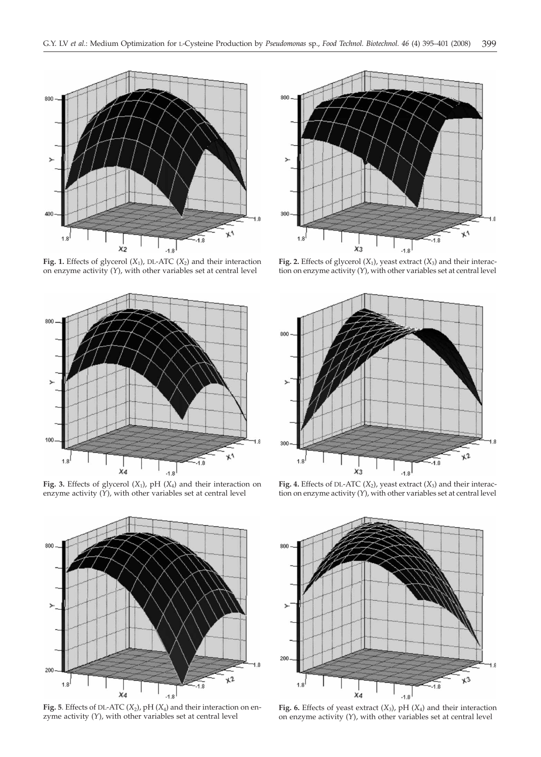

**Fig. 1.** Effects of glycerol (*X*1), DL-ATC (*X*2) and their interaction on enzyme activity (*Y*), with other variables set at central level



**Fig. 3.** Effects of glycerol (*X*1), pH (*X*4) and their interaction on enzyme activity (*Y*), with other variables set at central level



**Fig. 5**. Effects of DL-ATC (*X*2), pH (*X*4) and their interaction on enzyme activity (*Y*), with other variables set at central level



**Fig. 2.** Effects of glycerol  $(X_1)$ , yeast extract  $(X_3)$  and their interaction on enzyme activity (*Y*), with other variables set at central level



**Fig. 4.** Effects of DL-ATC  $(X_2)$ , yeast extract  $(X_3)$  and their interaction on enzyme activity (*Y*), with other variables set at central level



**Fig. 6.** Effects of yeast extract (*X*3), pH (*X*4) and their interaction on enzyme activity (*Y*), with other variables set at central level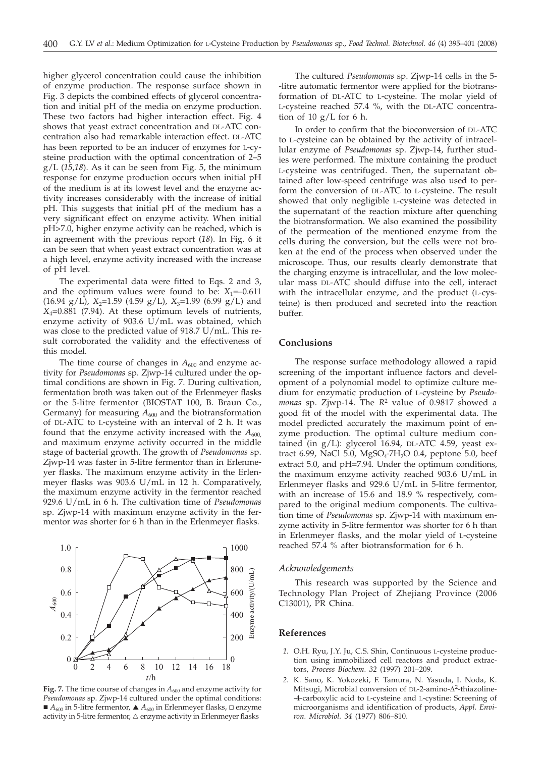higher glycerol concentration could cause the inhibition of enzyme production. The response surface shown in Fig. 3 depicts the combined effects of glycerol concentration and initial pH of the media on enzyme production. These two factors had higher interaction effect. Fig. 4 shows that yeast extract concentration and DL-ATC concentration also had remarkable interaction effect. DL-ATC has been reported to be an inducer of enzymes for L-cysteine production with the optimal concentration of 2–5 g/L (*15*,*18*). As it can be seen from Fig. 5, the minimum response for enzyme production occurs when initial pH of the medium is at its lowest level and the enzyme activity increases considerably with the increase of initial pH. This suggests that initial pH of the medium has a very significant effect on enzyme activity. When initial pH>7.0, higher enzyme activity can be reached, which is in agreement with the previous report (*18*). In Fig. 6 it can be seen that when yeast extract concentration was at a high level, enzyme activity increased with the increase of pH level.

The experimental data were fitted to Eqs. 2 and 3, and the optimum values were found to be:  $X_1 = -0.611$  $(16.94 \text{ g/L})$ ,  $X_2=1.59 \text{ (4.59 g/L)}$ ,  $X_3=1.99 \text{ (6.99 g/L)}$  and *X*4=0.881 (7.94). At these optimum levels of nutrients, enzyme activity of 903.6  $\dot{U}/mL$  was obtained, which was close to the predicted value of 918.7 U/mL. This result corroborated the validity and the effectiveness of this model.

The time course of changes in  $A_{600}$  and enzyme activity for *Pseudomonas* sp. Zjwp-14 cultured under the optimal conditions are shown in Fig. 7. During cultivation, fermentation broth was taken out of the Erlenmeyer flasks or the 5-litre fermentor (BIOSTAT 100, B. Braun Co., Germany) for measuring  $A_{600}$  and the biotransformation of DL-ATC to L-cysteine with an interval of 2 h. It was found that the enzyme activity increased with the  $A_{600}$ and maximum enzyme activity occurred in the middle stage of bacterial growth. The growth of *Pseudomonas* sp. Zjwp-14 was faster in 5-litre fermentor than in Erlenmeyer flasks. The maximum enzyme activity in the Erlenmeyer flasks was 903.6 U/mL in 12 h. Comparatively, the maximum enzyme activity in the fermentor reached 929.6 U/mL in 6 h. The cultivation time of *Pseudomonas* sp. Zjwp-14 with maximum enzyme activity in the fermentor was shorter for 6 h than in the Erlenmeyer flasks.

## The cultured *Pseudomonas* sp. Zjwp-14 cells in the 5- -litre automatic fermentor were applied for the biotransformation of DL-ATC to L-cysteine. The molar yield of L-cysteine reached 57.4 %, with the DL-ATC concentration of 10  $g/L$  for 6 h.

In order to confirm that the bioconversion of DL-ATC to L-cysteine can be obtained by the activity of intracellular enzyme of *Pseudomonas* sp. Zjwp-14, further studies were performed. The mixture containing the product L-cysteine was centrifuged. Then, the supernatant obtained after low-speed centrifuge was also used to perform the conversion of DL-ATC to L-cysteine. The result showed that only negligible L-cysteine was detected in the supernatant of the reaction mixture after quenching the biotransformation. We also examined the possibility of the permeation of the mentioned enzyme from the cells during the conversion, but the cells were not broken at the end of the process when observed under the microscope. Thus, our results clearly demonstrate that the charging enzyme is intracellular, and the low molecular mass DL-ATC should diffuse into the cell, interact with the intracellular enzyme, and the product (L-cysteine) is then produced and secreted into the reaction buffer.

## **Conclusions**

The response surface methodology allowed a rapid screening of the important influence factors and development of a polynomial model to optimize culture medium for enzymatic production of L-cysteine by *Pseudomonas* sp. Zjwp-14. The *R*<sup>2</sup> value of 0.9817 showed a good fit of the model with the experimental data. The model predicted accurately the maximum point of enzyme production. The optimal culture medium contained (in g/L): glycerol 16.94, DL-ATC 4.59, yeast extract 6.99, NaCl 5.0,  $MgSO_4$ ·7H<sub>2</sub>O 0.4, peptone 5.0, beef extract 5.0, and pH=7.94. Under the optimum conditions, the maximum enzyme activity reached 903.6 U/mL in Erlenmeyer flasks and 929.6 U/mL in 5-litre fermentor, with an increase of 15.6 and 18.9 % respectively, compared to the original medium components. The cultivation time of *Pseudomonas* sp. Zjwp-14 with maximum enzyme activity in 5-litre fermentor was shorter for 6 h than in Erlenmeyer flasks, and the molar yield of L-cysteine reached 57.4 % after biotransformation for 6 h.

### *Acknowledgements*

This research was supported by the Science and Technology Plan Project of Zhejiang Province (2006 C13001), PR China.

### **References**

800

1000

- *1.* O.H. Ryu, J.Y. Ju, C.S. Shin, Continuous L-cysteine production using immobilized cell reactors and product extractors, *Process Biochem. 32* (1997) 201–209.
- *2.* K. Sano, K. Yokozeki, F. Tamura, N. Yasuda, I. Noda, K. Mitsugi, Microbial conversion of DL-2-amino- $\Delta^2$ -thiazoline--4-carboxylic acid to L-cysteine and L-cystine: Screening of microorganisms and identification of products, *Appl. Environ. Microbiol. 34* (1977) 806–810.



0.8

1.0

*Pseudomonas* sp. Zjwp-14 cultured under the optimal conditions:  $A_{600}$  in 5-litre fermentor,  $A_{600}$  in Erlenmeyer flasks,  $\Box$  enzyme activity in 5-litre fermentor,  $\triangle$  enzyme activity in Erlenmeyer flasks